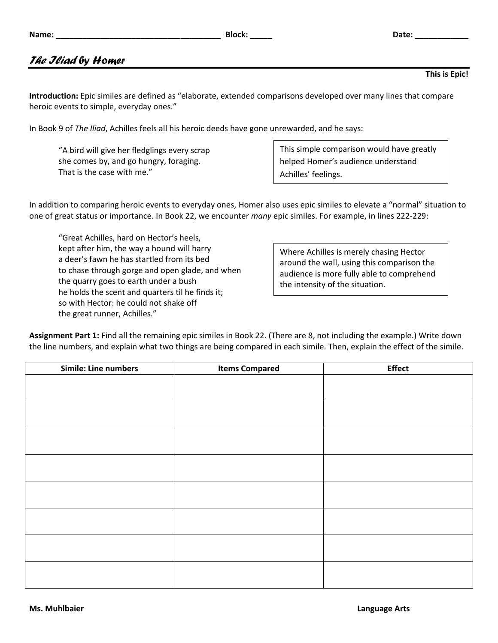|  | <i>The Jliad</i> by Homer |
|--|---------------------------|

**Introduction:** Epic similes are defined as "elaborate, extended comparisons developed over many lines that compare heroic events to simple, everyday ones."

In Book 9 of *The Iliad*, Achilles feels all his heroic deeds have gone unrewarded, and he says:

"A bird will give her fledglings every scrap she comes by, and go hungry, foraging. That is the case with me."

This simple comparison would have greatly helped Homer's audience understand Achilles' feelings.

In addition to comparing heroic events to everyday ones, Homer also uses epic similes to elevate a "normal" situation to one of great status or importance. In Book 22, we encounter *many* epic similes. For example, in lines 222-229:

"Great Achilles, hard on Hector's heels, kept after him, the way a hound will harry a deer's fawn he has startled from its bed to chase through gorge and open glade, and when the quarry goes to earth under a bush he holds the scent and quarters til he finds it; so with Hector: he could not shake off the great runner, Achilles."

Where Achilles is merely chasing Hector around the wall, using this comparison the audience is more fully able to comprehend

| <b>Simile: Line numbers</b> | <b>Items Compared</b> | <b>Effect</b> |
|-----------------------------|-----------------------|---------------|
|                             |                       |               |
|                             |                       |               |
|                             |                       |               |
|                             |                       |               |
|                             |                       |               |
|                             |                       |               |
|                             |                       |               |
|                             |                       |               |
|                             |                       |               |
|                             |                       |               |
|                             |                       |               |
|                             |                       |               |
|                             |                       |               |

**Assignment Part 1:** Find all the remaining epic similes in Book 22. (There are 8, not including the example.) Write down the line numbers, and explain what two things are being compared in each simile. Then, explain the effect of the simile.



**This is Epic!**